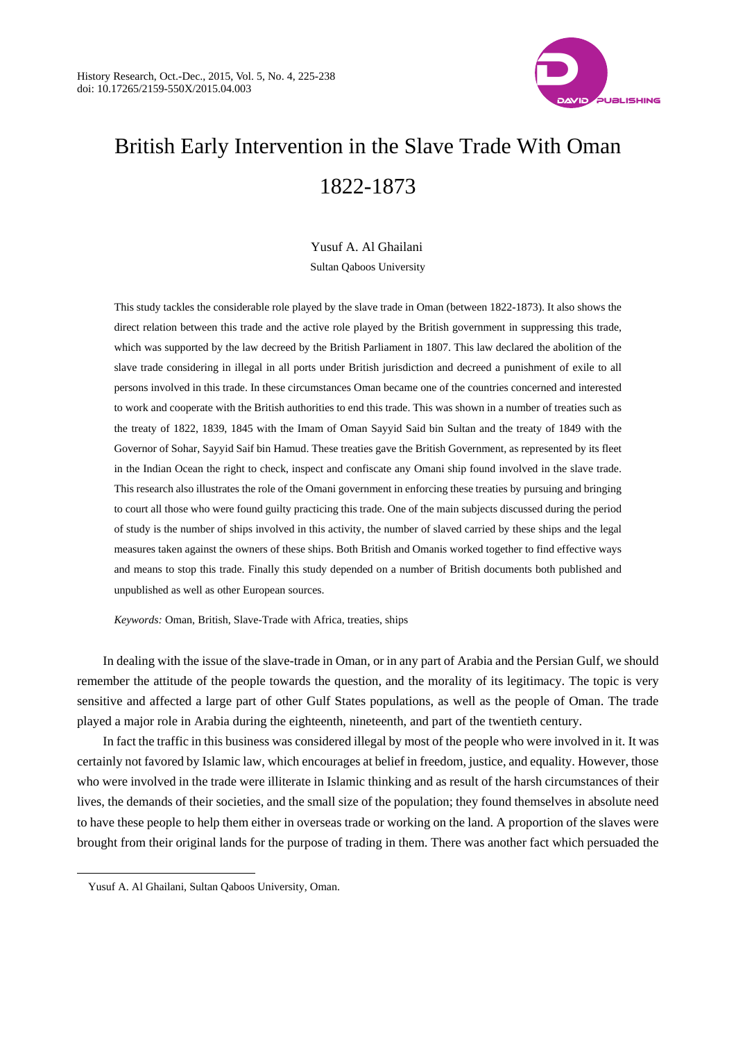

# British Early Intervention in the Slave Trade With Oman 1822-1873

Yusuf A. Al Ghailani Sultan Qaboos University

This study tackles the considerable role played by the slave trade in Oman (between 1822-1873). It also shows the direct relation between this trade and the active role played by the British government in suppressing this trade, which was supported by the law decreed by the British Parliament in 1807. This law declared the abolition of the slave trade considering in illegal in all ports under British jurisdiction and decreed a punishment of exile to all persons involved in this trade. In these circumstances Oman became one of the countries concerned and interested to work and cooperate with the British authorities to end this trade. This was shown in a number of treaties such as the treaty of 1822, 1839, 1845 with the Imam of Oman Sayyid Said bin Sultan and the treaty of 1849 with the Governor of Sohar, Sayyid Saif bin Hamud. These treaties gave the British Government, as represented by its fleet in the Indian Ocean the right to check, inspect and confiscate any Omani ship found involved in the slave trade. This research also illustrates the role of the Omani government in enforcing these treaties by pursuing and bringing to court all those who were found guilty practicing this trade. One of the main subjects discussed during the period of study is the number of ships involved in this activity, the number of slaved carried by these ships and the legal measures taken against the owners of these ships. Both British and Omanis worked together to find effective ways and means to stop this trade. Finally this study depended on a number of British documents both published and unpublished as well as other European sources.

*Keywords:* Oman, British, Slave-Trade with Africa, treaties, ships

In dealing with the issue of the slave-trade in Oman, or in any part of Arabia and the Persian Gulf, we should remember the attitude of the people towards the question, and the morality of its legitimacy. The topic is very sensitive and affected a large part of other Gulf States populations, as well as the people of Oman. The trade played a major role in Arabia during the eighteenth, nineteenth, and part of the twentieth century.

In fact the traffic in this business was considered illegal by most of the people who were involved in it. It was certainly not favored by Islamic law, which encourages at belief in freedom, justice, and equality. However, those who were involved in the trade were illiterate in Islamic thinking and as result of the harsh circumstances of their lives, the demands of their societies, and the small size of the population; they found themselves in absolute need to have these people to help them either in overseas trade or working on the land. A proportion of the slaves were brought from their original lands for the purpose of trading in them. There was another fact which persuaded the

Yusuf A. Al Ghailani, Sultan Qaboos University, Oman.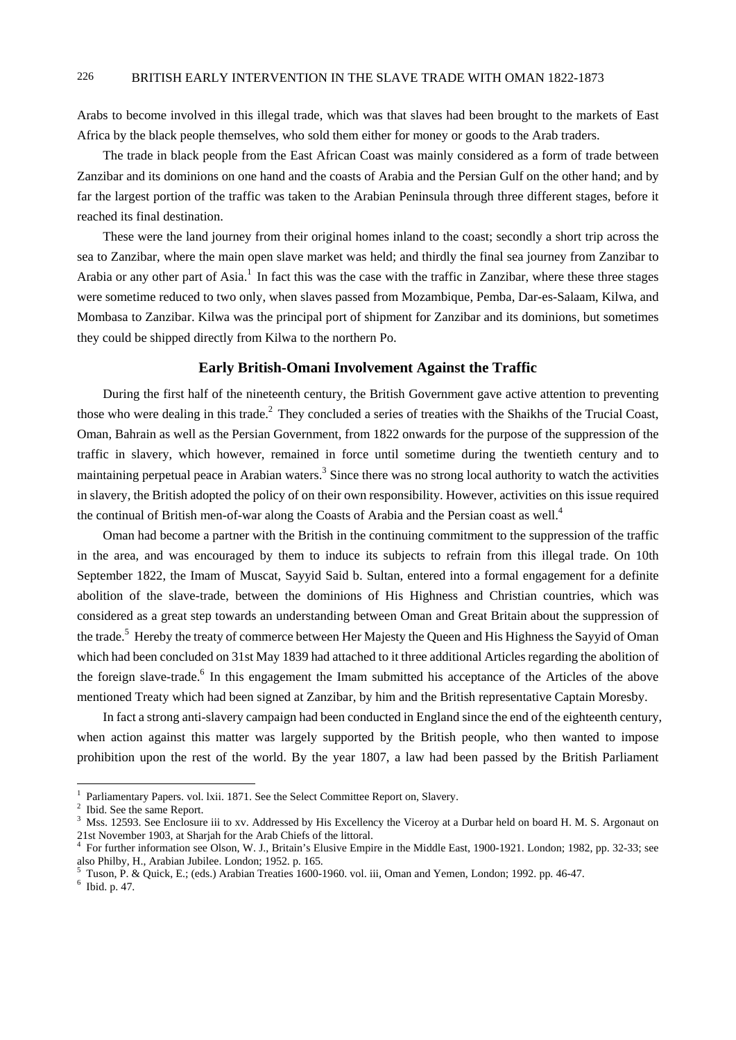Arabs to become involved in this illegal trade, which was that slaves had been brought to the markets of East Africa by the black people themselves, who sold them either for money or goods to the Arab traders.

The trade in black people from the East African Coast was mainly considered as a form of trade between Zanzibar and its dominions on one hand and the coasts of Arabia and the Persian Gulf on the other hand; and by far the largest portion of the traffic was taken to the Arabian Peninsula through three different stages, before it reached its final destination.

These were the land journey from their original homes inland to the coast; secondly a short trip across the sea to Zanzibar, where the main open slave market was held; and thirdly the final sea journey from Zanzibar to Arabia or any other part of Asia.<sup>1</sup> In fact this was the case with the traffic in Zanzibar, where these three stages were sometime reduced to two only, when slaves passed from Mozambique, Pemba, Dar-es-Salaam, Kilwa, and Mombasa to Zanzibar. Kilwa was the principal port of shipment for Zanzibar and its dominions, but sometimes they could be shipped directly from Kilwa to the northern Po.

## **Early British-Omani Involvement Against the Traffic**

During the first half of the nineteenth century, the British Government gave active attention to preventing those who were dealing in this trade.<sup>2</sup> They concluded a series of treaties with the Shaikhs of the Trucial Coast, Oman, Bahrain as well as the Persian Government, from 1822 onwards for the purpose of the suppression of the traffic in slavery, which however, remained in force until sometime during the twentieth century and to maintaining perpetual peace in Arabian waters. $3$  Since there was no strong local authority to watch the activities in slavery, the British adopted the policy of on their own responsibility. However, activities on this issue required the continual of British men-of-war along the Coasts of Arabia and the Persian coast as well.<sup>4</sup>

Oman had become a partner with the British in the continuing commitment to the suppression of the traffic in the area, and was encouraged by them to induce its subjects to refrain from this illegal trade. On 10th September 1822, the Imam of Muscat, Sayyid Said b. Sultan, entered into a formal engagement for a definite abolition of the slave-trade, between the dominions of His Highness and Christian countries, which was considered as a great step towards an understanding between Oman and Great Britain about the suppression of the trade.<sup>5</sup> Hereby the treaty of commerce between Her Majesty the Queen and His Highness the Sayyid of Oman which had been concluded on 31st May 1839 had attached to it three additional Articles regarding the abolition of the foreign slave-trade.<sup>6</sup> In this engagement the Imam submitted his acceptance of the Articles of the above mentioned Treaty which had been signed at Zanzibar, by him and the British representative Captain Moresby.

In fact a strong anti-slavery campaign had been conducted in England since the end of the eighteenth century, when action against this matter was largely supported by the British people, who then wanted to impose prohibition upon the rest of the world. By the year 1807, a law had been passed by the British Parliament

<sup>1</sup> Parliamentary Papers. vol. lxii. 1871. See the Select Committee Report on, Slavery.

 $2$  Ibid. See the same Report.

<sup>&</sup>lt;sup>3</sup> Mss. 12593. See Enclosure iii to xv. Addressed by His Excellency the Viceroy at a Durbar held on board H. M. S. Argonaut on 21st November 1903, at Sharjah for the Arab Chiefs of the littoral. 4

For further information see Olson, W. J., Britain's Elusive Empire in the Middle East, 1900-1921. London; 1982, pp. 32-33; see also Philby, H., Arabian Jubilee. London; 1952. p. 165.

Tuson, P. & Quick, E.; (eds.) Arabian Treaties 1600-1960. vol. iii, Oman and Yemen, London; 1992. pp. 46-47. 6

 $6$  Ibid. p. 47.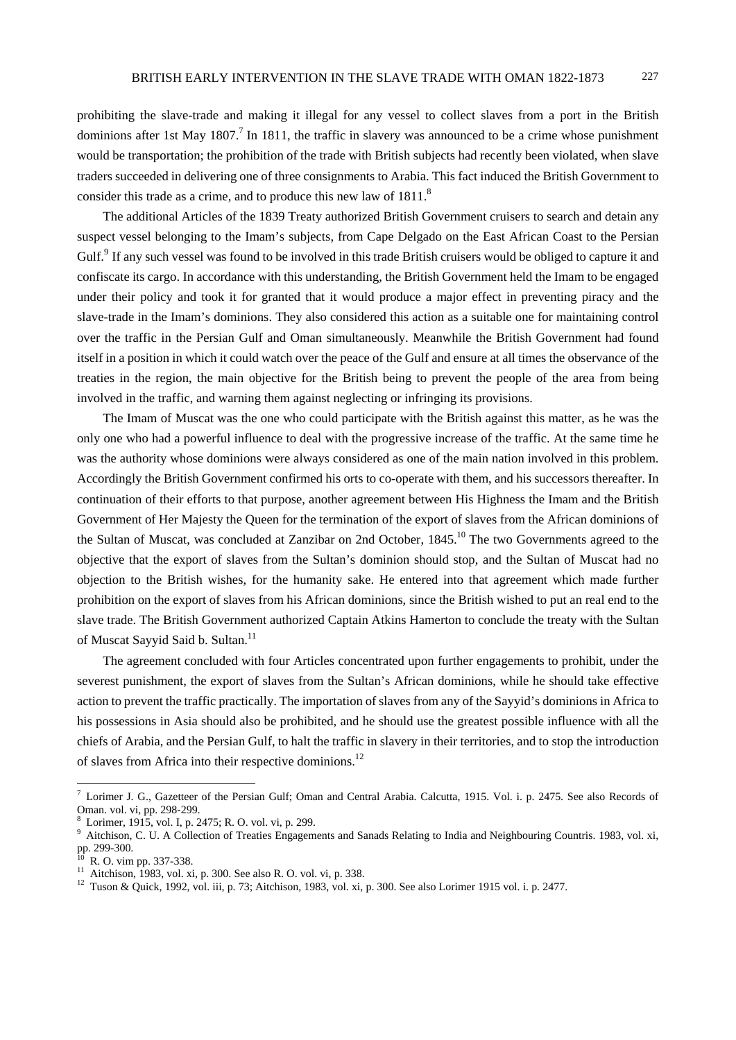prohibiting the slave-trade and making it illegal for any vessel to collect slaves from a port in the British dominions after 1st May 1807.<sup>7</sup> In 1811, the traffic in slavery was announced to be a crime whose punishment would be transportation; the prohibition of the trade with British subjects had recently been violated, when slave traders succeeded in delivering one of three consignments to Arabia. This fact induced the British Government to consider this trade as a crime, and to produce this new law of 1811.<sup>8</sup>

The additional Articles of the 1839 Treaty authorized British Government cruisers to search and detain any suspect vessel belonging to the Imam's subjects, from Cape Delgado on the East African Coast to the Persian Gulf.<sup>9</sup> If any such vessel was found to be involved in this trade British cruisers would be obliged to capture it and confiscate its cargo. In accordance with this understanding, the British Government held the Imam to be engaged under their policy and took it for granted that it would produce a major effect in preventing piracy and the slave-trade in the Imam's dominions. They also considered this action as a suitable one for maintaining control over the traffic in the Persian Gulf and Oman simultaneously. Meanwhile the British Government had found itself in a position in which it could watch over the peace of the Gulf and ensure at all times the observance of the treaties in the region, the main objective for the British being to prevent the people of the area from being involved in the traffic, and warning them against neglecting or infringing its provisions.

The Imam of Muscat was the one who could participate with the British against this matter, as he was the only one who had a powerful influence to deal with the progressive increase of the traffic. At the same time he was the authority whose dominions were always considered as one of the main nation involved in this problem. Accordingly the British Government confirmed his orts to co-operate with them, and his successors thereafter. In continuation of their efforts to that purpose, another agreement between His Highness the Imam and the British Government of Her Majesty the Queen for the termination of the export of slaves from the African dominions of the Sultan of Muscat, was concluded at Zanzibar on 2nd October, 1845.<sup>10</sup> The two Governments agreed to the objective that the export of slaves from the Sultan's dominion should stop, and the Sultan of Muscat had no objection to the British wishes, for the humanity sake. He entered into that agreement which made further prohibition on the export of slaves from his African dominions, since the British wished to put an real end to the slave trade. The British Government authorized Captain Atkins Hamerton to conclude the treaty with the Sultan of Muscat Sayyid Said b. Sultan.<sup>11</sup>

The agreement concluded with four Articles concentrated upon further engagements to prohibit, under the severest punishment, the export of slaves from the Sultan's African dominions, while he should take effective action to prevent the traffic practically. The importation of slaves from any of the Sayyid's dominions in Africa to his possessions in Asia should also be prohibited, and he should use the greatest possible influence with all the chiefs of Arabia, and the Persian Gulf, to halt the traffic in slavery in their territories, and to stop the introduction of slaves from Africa into their respective dominions.12

<sup>&</sup>lt;sup>7</sup> Lorimer J. G., Gazetteer of the Persian Gulf; Oman and Central Arabia. Calcutta, 1915. Vol. i. p. 2475. See also Records of Oman. vol. vi, pp. 298-299.

<sup>&</sup>lt;sup>8</sup> Lorimer, 1915, vol. I, p. 2475; R. O. vol. vi, p. 299.

<sup>&</sup>lt;sup>9</sup> Aitchison, C. U. A Collection of Treaties Engagements and Sanads Relating to India and Neighbouring Countris. 1983, vol. xi, pp. 299-300.

R. O. vim pp. 337-338.<br>Aitchison. 1983. vol. xi. p. 300. See also R. O. vol. vi. p. 338.

<sup>&</sup>lt;sup>12</sup> Tuson & Quick, 1992, vol. iii, p. 73; Aitchison, 1983, vol. xi, p. 300. See also Lorimer 1915 vol. i. p. 2477.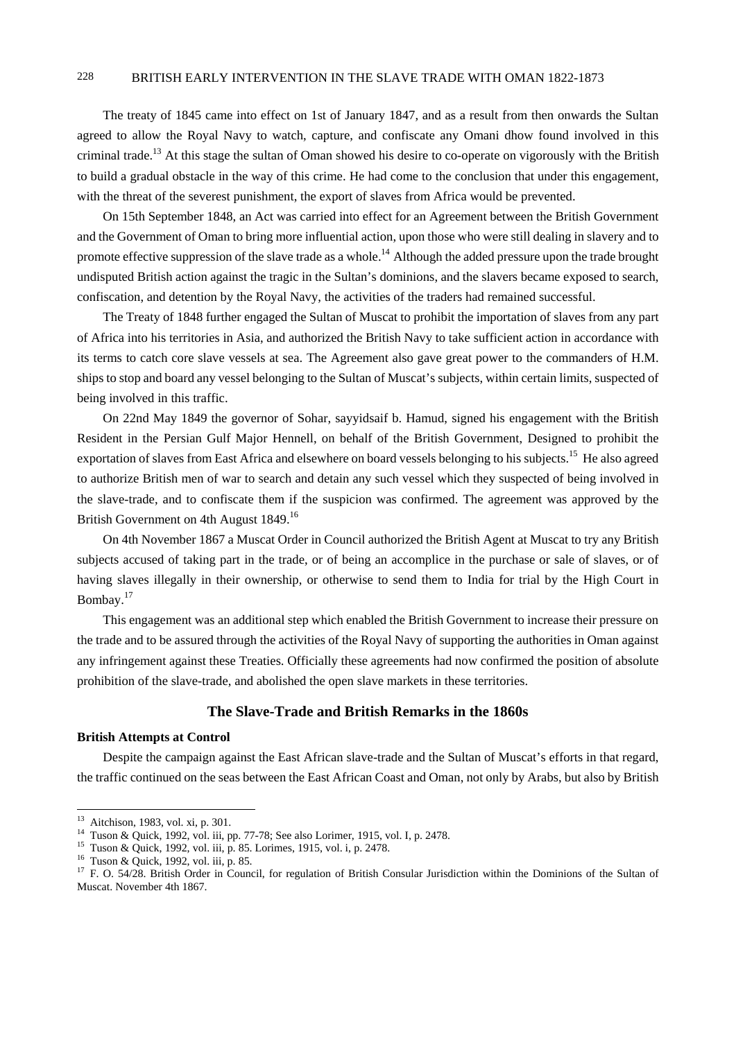The treaty of 1845 came into effect on 1st of January 1847, and as a result from then onwards the Sultan agreed to allow the Royal Navy to watch, capture, and confiscate any Omani dhow found involved in this criminal trade.<sup>13</sup> At this stage the sultan of Oman showed his desire to co-operate on vigorously with the British to build a gradual obstacle in the way of this crime. He had come to the conclusion that under this engagement, with the threat of the severest punishment, the export of slaves from Africa would be prevented.

On 15th September 1848, an Act was carried into effect for an Agreement between the British Government and the Government of Oman to bring more influential action, upon those who were still dealing in slavery and to promote effective suppression of the slave trade as a whole.<sup>14</sup> Although the added pressure upon the trade brought undisputed British action against the tragic in the Sultan's dominions, and the slavers became exposed to search, confiscation, and detention by the Royal Navy, the activities of the traders had remained successful.

The Treaty of 1848 further engaged the Sultan of Muscat to prohibit the importation of slaves from any part of Africa into his territories in Asia, and authorized the British Navy to take sufficient action in accordance with its terms to catch core slave vessels at sea. The Agreement also gave great power to the commanders of H.M. ships to stop and board any vessel belonging to the Sultan of Muscat's subjects, within certain limits, suspected of being involved in this traffic.

On 22nd May 1849 the governor of Sohar, sayyidsaif b. Hamud, signed his engagement with the British Resident in the Persian Gulf Major Hennell, on behalf of the British Government, Designed to prohibit the exportation of slaves from East Africa and elsewhere on board vessels belonging to his subjects.<sup>15</sup> He also agreed to authorize British men of war to search and detain any such vessel which they suspected of being involved in the slave-trade, and to confiscate them if the suspicion was confirmed. The agreement was approved by the British Government on 4th August 1849.<sup>16</sup>

On 4th November 1867 a Muscat Order in Council authorized the British Agent at Muscat to try any British subjects accused of taking part in the trade, or of being an accomplice in the purchase or sale of slaves, or of having slaves illegally in their ownership, or otherwise to send them to India for trial by the High Court in Bombay.<sup>17</sup>

This engagement was an additional step which enabled the British Government to increase their pressure on the trade and to be assured through the activities of the Royal Navy of supporting the authorities in Oman against any infringement against these Treaties. Officially these agreements had now confirmed the position of absolute prohibition of the slave-trade, and abolished the open slave markets in these territories.

# **The Slave-Trade and British Remarks in the 1860s**

## **British Attempts at Control**

Despite the campaign against the East African slave-trade and the Sultan of Muscat's efforts in that regard, the traffic continued on the seas between the East African Coast and Oman, not only by Arabs, but also by British

 $13$  Aitchison, 1983, vol. xi, p. 301.

<sup>14</sup> Tuson & Quick, 1992, vol. iii, pp. 77-78; See also Lorimer, 1915, vol. I, p. 2478.<br>
<sup>15</sup> Tuson & Quick, 1992, vol. iii, p. 85. Lorimes, 1915, vol. i, p. 2478.<br>
<sup>16</sup> Tuson & Quick, 1992, vol. iii, p. 85.

<sup>&</sup>lt;sup>17</sup> F. O. 54/28. British Order in Council, for regulation of British Consular Jurisdiction within the Dominions of the Sultan of Muscat. November 4th 1867.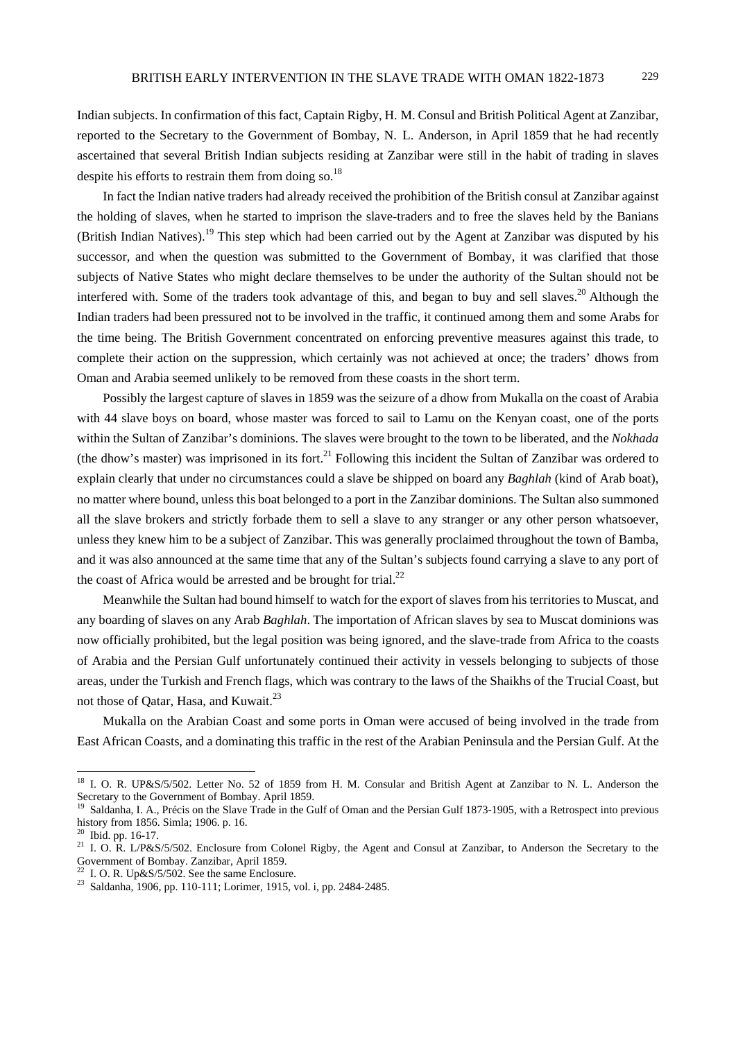Indian subjects. In confirmation of this fact, Captain Rigby, H. M. Consul and British Political Agent at Zanzibar, reported to the Secretary to the Government of Bombay, N. L. Anderson, in April 1859 that he had recently ascertained that several British Indian subjects residing at Zanzibar were still in the habit of trading in slaves despite his efforts to restrain them from doing so.<sup>18</sup>

In fact the Indian native traders had already received the prohibition of the British consul at Zanzibar against the holding of slaves, when he started to imprison the slave-traders and to free the slaves held by the Banians (British Indian Natives).<sup>19</sup> This step which had been carried out by the Agent at Zanzibar was disputed by his successor, and when the question was submitted to the Government of Bombay, it was clarified that those subjects of Native States who might declare themselves to be under the authority of the Sultan should not be interfered with. Some of the traders took advantage of this, and began to buy and sell slaves.<sup>20</sup> Although the Indian traders had been pressured not to be involved in the traffic, it continued among them and some Arabs for the time being. The British Government concentrated on enforcing preventive measures against this trade, to complete their action on the suppression, which certainly was not achieved at once; the traders' dhows from Oman and Arabia seemed unlikely to be removed from these coasts in the short term.

Possibly the largest capture of slaves in 1859 was the seizure of a dhow from Mukalla on the coast of Arabia with 44 slave boys on board, whose master was forced to sail to Lamu on the Kenyan coast, one of the ports within the Sultan of Zanzibar's dominions. The slaves were brought to the town to be liberated, and the *Nokhada* (the dhow's master) was imprisoned in its fort.<sup>21</sup> Following this incident the Sultan of Zanzibar was ordered to explain clearly that under no circumstances could a slave be shipped on board any *Baghlah* (kind of Arab boat), no matter where bound, unless this boat belonged to a port in the Zanzibar dominions. The Sultan also summoned all the slave brokers and strictly forbade them to sell a slave to any stranger or any other person whatsoever, unless they knew him to be a subject of Zanzibar. This was generally proclaimed throughout the town of Bamba, and it was also announced at the same time that any of the Sultan's subjects found carrying a slave to any port of the coast of Africa would be arrested and be brought for trial. $^{22}$ 

Meanwhile the Sultan had bound himself to watch for the export of slaves from his territories to Muscat, and any boarding of slaves on any Arab *Baghlah*. The importation of African slaves by sea to Muscat dominions was now officially prohibited, but the legal position was being ignored, and the slave-trade from Africa to the coasts of Arabia and the Persian Gulf unfortunately continued their activity in vessels belonging to subjects of those areas, under the Turkish and French flags, which was contrary to the laws of the Shaikhs of the Trucial Coast, but not those of Qatar, Hasa, and Kuwait.<sup>23</sup>

Mukalla on the Arabian Coast and some ports in Oman were accused of being involved in the trade from East African Coasts, and a dominating this traffic in the rest of the Arabian Peninsula and the Persian Gulf. At the

<sup>&</sup>lt;sup>18</sup> I. O. R. UP&S/5/502. Letter No. 52 of 1859 from H. M. Consular and British Agent at Zanzibar to N. L. Anderson the Secretary to the Government of Bombay. April 1859.<br><sup>19</sup> Saldanha J. A. P.

Saldanha, I. A., Précis on the Slave Trade in the Gulf of Oman and the Persian Gulf 1873-1905, with a Retrospect into previous history from 1856. Simla; 1906. p. 16.

<sup>20</sup> Ibid. pp. 16-17.

<sup>&</sup>lt;sup>21</sup> I. O. R. L/P&S/5/502. Enclosure from Colonel Rigby, the Agent and Consul at Zanzibar, to Anderson the Secretary to the Government of Bombay. Zanzibar, April 1859.<br><sup>22</sup> I. O. R. Up&S/5/502. See the same Enclosure.

<sup>&</sup>lt;sup>23</sup> Saldanha, 1906, pp. 110-111; Lorimer, 1915, vol. i, pp. 2484-2485.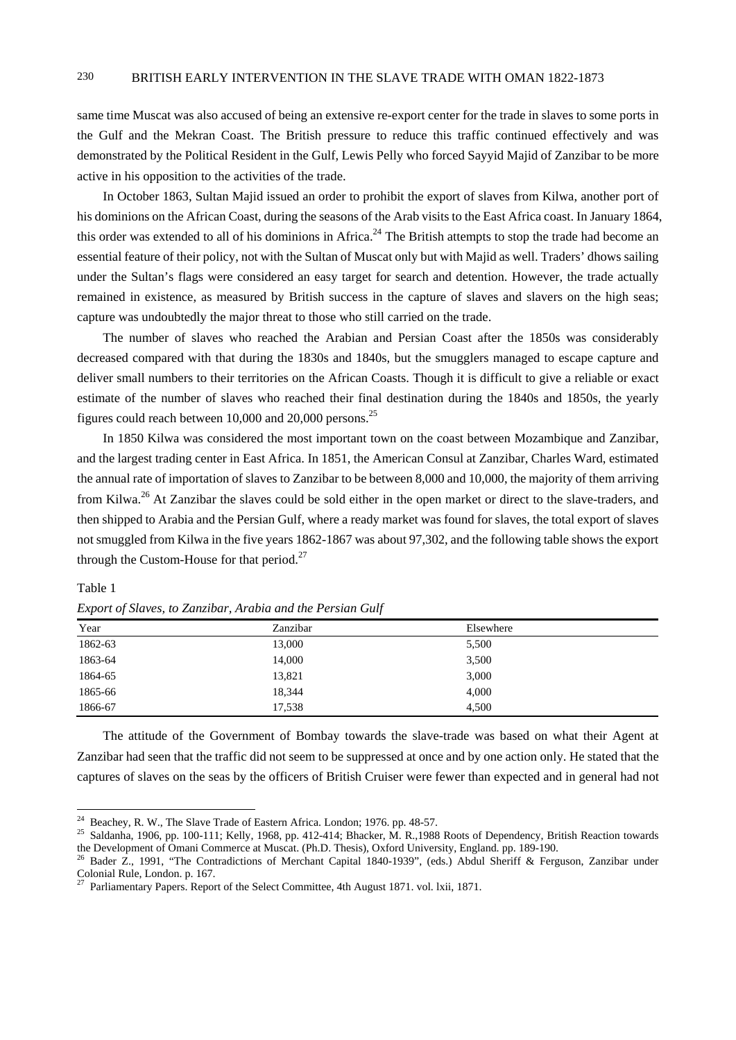same time Muscat was also accused of being an extensive re-export center for the trade in slaves to some ports in the Gulf and the Mekran Coast. The British pressure to reduce this traffic continued effectively and was demonstrated by the Political Resident in the Gulf, Lewis Pelly who forced Sayyid Majid of Zanzibar to be more active in his opposition to the activities of the trade.

In October 1863, Sultan Majid issued an order to prohibit the export of slaves from Kilwa, another port of his dominions on the African Coast, during the seasons of the Arab visits to the East Africa coast. In January 1864, this order was extended to all of his dominions in Africa.<sup>24</sup> The British attempts to stop the trade had become an essential feature of their policy, not with the Sultan of Muscat only but with Majid as well. Traders' dhows sailing under the Sultan's flags were considered an easy target for search and detention. However, the trade actually remained in existence, as measured by British success in the capture of slaves and slavers on the high seas; capture was undoubtedly the major threat to those who still carried on the trade.

The number of slaves who reached the Arabian and Persian Coast after the 1850s was considerably decreased compared with that during the 1830s and 1840s, but the smugglers managed to escape capture and deliver small numbers to their territories on the African Coasts. Though it is difficult to give a reliable or exact estimate of the number of slaves who reached their final destination during the 1840s and 1850s, the yearly figures could reach between 10,000 and 20,000 persons.<sup>25</sup>

In 1850 Kilwa was considered the most important town on the coast between Mozambique and Zanzibar, and the largest trading center in East Africa. In 1851, the American Consul at Zanzibar, Charles Ward, estimated the annual rate of importation of slaves to Zanzibar to be between 8,000 and 10,000, the majority of them arriving from Kilwa.<sup>26</sup> At Zanzibar the slaves could be sold either in the open market or direct to the slave-traders, and then shipped to Arabia and the Persian Gulf, where a ready market was found for slaves, the total export of slaves not smuggled from Kilwa in the five years 1862-1867 was about 97,302, and the following table shows the export through the Custom-House for that period. $27$ 

## Table 1

 $\overline{a}$ 

| Year    | Zanzibar | Elsewhere |
|---------|----------|-----------|
| 1862-63 | 13,000   | 5,500     |
| 1863-64 | 14,000   | 3,500     |
| 1864-65 | 13,821   | 3,000     |
| 1865-66 | 18,344   | 4,000     |
| 1866-67 | 17,538   | 4,500     |

*Export of Slaves, to Zanzibar, Arabia and the Persian Gulf* 

The attitude of the Government of Bombay towards the slave-trade was based on what their Agent at Zanzibar had seen that the traffic did not seem to be suppressed at once and by one action only. He stated that the captures of slaves on the seas by the officers of British Cruiser were fewer than expected and in general had not

 $^{24}$  Beachey, R. W., The Slave Trade of Eastern Africa. London; 1976. pp. 48-57.

<sup>&</sup>lt;sup>25</sup> Saldanha, 1906, pp. 100-111; Kelly, 1968, pp. 412-414; Bhacker, M. R., 1988 Roots of Dependency, British Reaction towards the Development of Omani Commerce at Muscat. (Ph.D. Thesis), Oxford University, England. pp. 189-190.<br><sup>26</sup> Bader Z., 1991, "The Contradictions of Merchant Capital 1840-1939", (eds.) Abdul Sheriff & Ferguson, Zanzibar under

Colonial Rule, London. p. 167.

<sup>&</sup>lt;sup>27</sup> Parliamentary Papers. Report of the Select Committee, 4th August 1871. vol. lxii, 1871.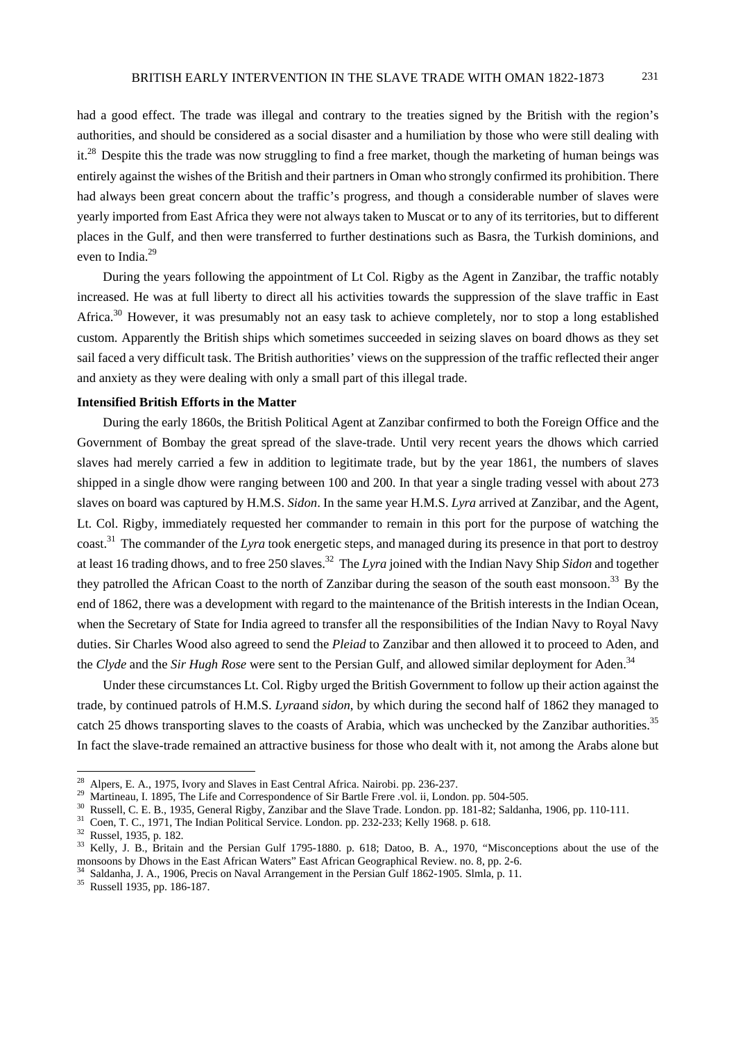had a good effect. The trade was illegal and contrary to the treaties signed by the British with the region's authorities, and should be considered as a social disaster and a humiliation by those who were still dealing with it.<sup>28</sup> Despite this the trade was now struggling to find a free market, though the marketing of human beings was entirely against the wishes of the British and their partners in Oman who strongly confirmed its prohibition. There had always been great concern about the traffic's progress, and though a considerable number of slaves were yearly imported from East Africa they were not always taken to Muscat or to any of its territories, but to different places in the Gulf, and then were transferred to further destinations such as Basra, the Turkish dominions, and even to India.<sup>29</sup>

During the years following the appointment of Lt Col. Rigby as the Agent in Zanzibar, the traffic notably increased. He was at full liberty to direct all his activities towards the suppression of the slave traffic in East Africa.<sup>30</sup> However, it was presumably not an easy task to achieve completely, nor to stop a long established custom. Apparently the British ships which sometimes succeeded in seizing slaves on board dhows as they set sail faced a very difficult task. The British authorities' views on the suppression of the traffic reflected their anger and anxiety as they were dealing with only a small part of this illegal trade.

## **Intensified British Efforts in the Matter**

During the early 1860s, the British Political Agent at Zanzibar confirmed to both the Foreign Office and the Government of Bombay the great spread of the slave-trade. Until very recent years the dhows which carried slaves had merely carried a few in addition to legitimate trade, but by the year 1861, the numbers of slaves shipped in a single dhow were ranging between 100 and 200. In that year a single trading vessel with about 273 slaves on board was captured by H.M.S. *Sidon*. In the same year H.M.S. *Lyra* arrived at Zanzibar, and the Agent, Lt. Col. Rigby, immediately requested her commander to remain in this port for the purpose of watching the coast.31 The commander of the *Lyra* took energetic steps, and managed during its presence in that port to destroy at least 16 trading dhows, and to free 250 slaves.32 The *Lyra* joined with the Indian Navy Ship *Sidon* and together they patrolled the African Coast to the north of Zanzibar during the season of the south east monsoon.<sup>33</sup> By the end of 1862, there was a development with regard to the maintenance of the British interests in the Indian Ocean, when the Secretary of State for India agreed to transfer all the responsibilities of the Indian Navy to Royal Navy duties. Sir Charles Wood also agreed to send the *Pleiad* to Zanzibar and then allowed it to proceed to Aden, and the *Clyde* and the *Sir Hugh Rose* were sent to the Persian Gulf, and allowed similar deployment for Aden.<sup>34</sup>

Under these circumstances Lt. Col. Rigby urged the British Government to follow up their action against the trade, by continued patrols of H.M.S. *Lyra*and *sidon*, by which during the second half of 1862 they managed to catch 25 dhows transporting slaves to the coasts of Arabia, which was unchecked by the Zanzibar authorities.<sup>35</sup> In fact the slave-trade remained an attractive business for those who dealt with it, not among the Arabs alone but

<sup>&</sup>lt;sup>28</sup> Alpers, E. A., 1975, Ivory and Slaves in East Central Africa. Nairobi. pp. 236-237.<br><sup>29</sup> Martineau, I. 1895, The Life and Correspondence of Sir Bartle Frere .vol. ii, London. pp. 504-505.<br><sup>30</sup> Russell, C. E. B., 1935

<sup>32</sup> Russel, 1935, p. 182.

<sup>&</sup>lt;sup>33</sup> Kelly, J. B., Britain and the Persian Gulf 1795-1880. p. 618; Datoo, B. A., 1970, "Misconceptions about the use of the monsoons by Dhows in the East African Waters" East African Geographical Review. no. 8, pp. 2-6.<br><sup>34</sup> Saldanha, J. A., 1906, Precis on Naval Arrangement in the Persian Gulf 1862-1905. Slmla, p. 11.<br><sup>35</sup> Russell 1935, pp. 18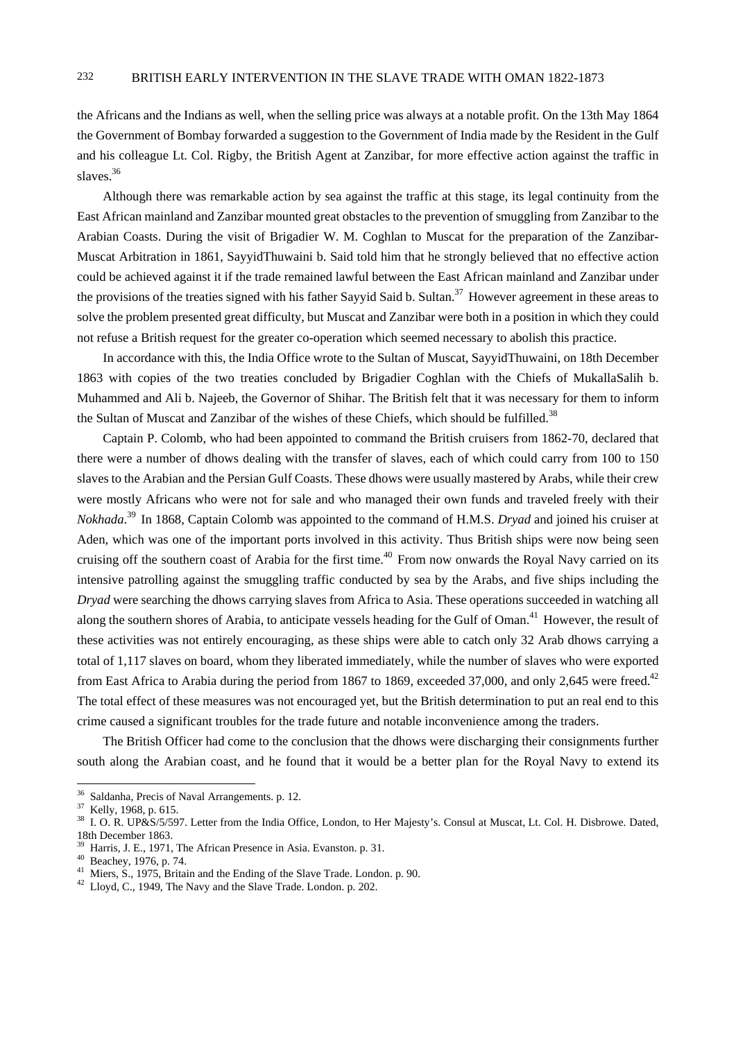the Africans and the Indians as well, when the selling price was always at a notable profit. On the 13th May 1864 the Government of Bombay forwarded a suggestion to the Government of India made by the Resident in the Gulf and his colleague Lt. Col. Rigby, the British Agent at Zanzibar, for more effective action against the traffic in slaves.<sup>36</sup>

Although there was remarkable action by sea against the traffic at this stage, its legal continuity from the East African mainland and Zanzibar mounted great obstacles to the prevention of smuggling from Zanzibar to the Arabian Coasts. During the visit of Brigadier W. M. Coghlan to Muscat for the preparation of the Zanzibar-Muscat Arbitration in 1861, SayyidThuwaini b. Said told him that he strongly believed that no effective action could be achieved against it if the trade remained lawful between the East African mainland and Zanzibar under the provisions of the treaties signed with his father Sayyid Said b. Sultan.<sup>37</sup> However agreement in these areas to solve the problem presented great difficulty, but Muscat and Zanzibar were both in a position in which they could not refuse a British request for the greater co-operation which seemed necessary to abolish this practice.

In accordance with this, the India Office wrote to the Sultan of Muscat, SayyidThuwaini, on 18th December 1863 with copies of the two treaties concluded by Brigadier Coghlan with the Chiefs of MukallaSalih b. Muhammed and Ali b. Najeeb, the Governor of Shihar. The British felt that it was necessary for them to inform the Sultan of Muscat and Zanzibar of the wishes of these Chiefs, which should be fulfilled.<sup>38</sup>

Captain P. Colomb, who had been appointed to command the British cruisers from 1862-70, declared that there were a number of dhows dealing with the transfer of slaves, each of which could carry from 100 to 150 slaves to the Arabian and the Persian Gulf Coasts. These dhows were usually mastered by Arabs, while their crew were mostly Africans who were not for sale and who managed their own funds and traveled freely with their *Nokhada*. 39 In 1868, Captain Colomb was appointed to the command of H.M.S. *Dryad* and joined his cruiser at Aden, which was one of the important ports involved in this activity. Thus British ships were now being seen cruising off the southern coast of Arabia for the first time.<sup>40</sup> From now onwards the Royal Navy carried on its intensive patrolling against the smuggling traffic conducted by sea by the Arabs, and five ships including the *Dryad* were searching the dhows carrying slaves from Africa to Asia. These operations succeeded in watching all along the southern shores of Arabia, to anticipate vessels heading for the Gulf of Oman.<sup>41</sup> However, the result of these activities was not entirely encouraging, as these ships were able to catch only 32 Arab dhows carrying a total of 1,117 slaves on board, whom they liberated immediately, while the number of slaves who were exported from East Africa to Arabia during the period from 1867 to 1869, exceeded 37,000, and only 2,645 were freed.<sup>42</sup> The total effect of these measures was not encouraged yet, but the British determination to put an real end to this crime caused a significant troubles for the trade future and notable inconvenience among the traders.

The British Officer had come to the conclusion that the dhows were discharging their consignments further south along the Arabian coast, and he found that it would be a better plan for the Royal Navy to extend its

 $36 \text{ Saldanha}$ , Precis of Naval Arrangements. p. 12.<br> $37 \text{ Kelly}$ , 1968, p. 615.

<sup>&</sup>lt;sup>37</sup> Kelly, 1968, p. 615.<br><sup>38</sup> I. O. R. UP&S/5/597. Letter from the India Office, London, to Her Majesty's. Consul at Muscat, Lt. Col. H. Disbrowe. Dated, 18th December 1863.

Harris, J. E., 1971, The African Presence in Asia. Evanston. p. 31.

<sup>40</sup> Beachey, 1976, p. 74.

<sup>41</sup> Miers, S., 1975, Britain and the Ending of the Slave Trade. London. p. 90.

<sup>42</sup> Lloyd, C., 1949, The Navy and the Slave Trade. London. p. 202.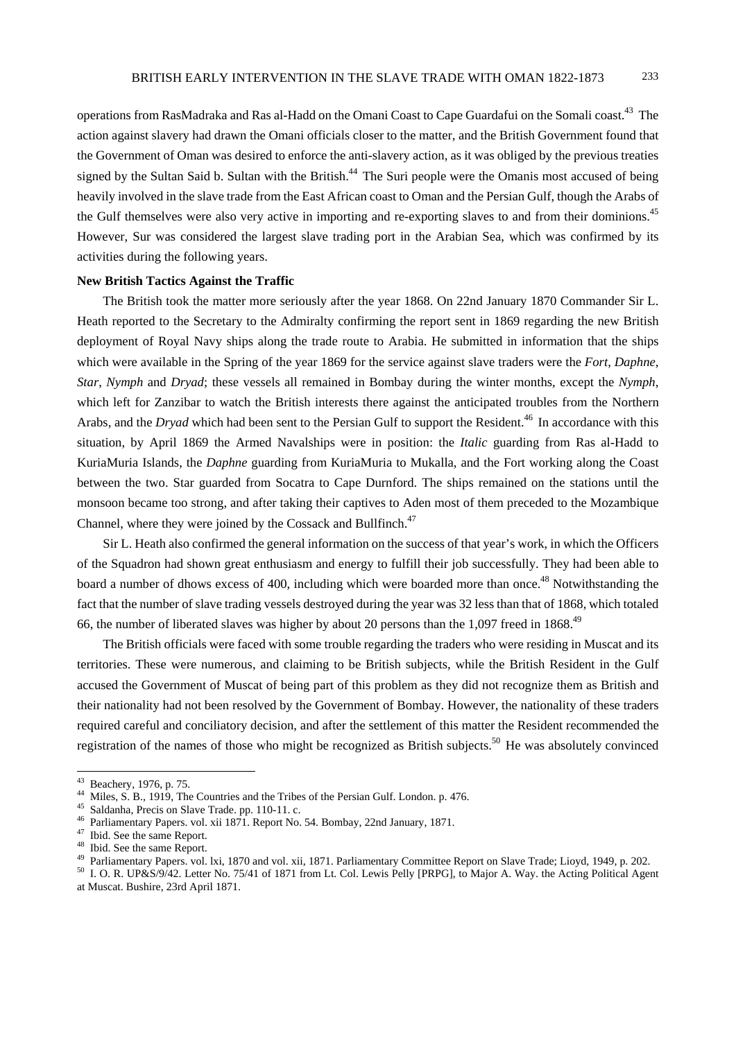operations from RasMadraka and Ras al-Hadd on the Omani Coast to Cape Guardafui on the Somali coast.<sup>43</sup> The action against slavery had drawn the Omani officials closer to the matter, and the British Government found that the Government of Oman was desired to enforce the anti-slavery action, as it was obliged by the previous treaties signed by the Sultan Said b. Sultan with the British.<sup>44</sup> The Suri people were the Omanis most accused of being heavily involved in the slave trade from the East African coast to Oman and the Persian Gulf, though the Arabs of the Gulf themselves were also very active in importing and re-exporting slaves to and from their dominions.<sup>45</sup> However, Sur was considered the largest slave trading port in the Arabian Sea, which was confirmed by its activities during the following years.

## **New British Tactics Against the Traffic**

The British took the matter more seriously after the year 1868. On 22nd January 1870 Commander Sir L. Heath reported to the Secretary to the Admiralty confirming the report sent in 1869 regarding the new British deployment of Royal Navy ships along the trade route to Arabia. He submitted in information that the ships which were available in the Spring of the year 1869 for the service against slave traders were the *Fort*, *Daphne*, *Star*, *Nymph* and *Dryad*; these vessels all remained in Bombay during the winter months, except the *Nymph*, which left for Zanzibar to watch the British interests there against the anticipated troubles from the Northern Arabs, and the *Dryad* which had been sent to the Persian Gulf to support the Resident.<sup>46</sup> In accordance with this situation, by April 1869 the Armed Navalships were in position: the *Italic* guarding from Ras al-Hadd to KuriaMuria Islands, the *Daphne* guarding from KuriaMuria to Mukalla, and the Fort working along the Coast between the two. Star guarded from Socatra to Cape Durnford. The ships remained on the stations until the monsoon became too strong, and after taking their captives to Aden most of them preceded to the Mozambique Channel, where they were joined by the Cossack and Bullfinch.<sup>47</sup>

Sir L. Heath also confirmed the general information on the success of that year's work, in which the Officers of the Squadron had shown great enthusiasm and energy to fulfill their job successfully. They had been able to board a number of dhows excess of 400, including which were boarded more than once.<sup>48</sup> Notwithstanding the fact that the number of slave trading vessels destroyed during the year was 32 less than that of 1868, which totaled 66, the number of liberated slaves was higher by about 20 persons than the 1,097 freed in 1868.<sup>49</sup>

The British officials were faced with some trouble regarding the traders who were residing in Muscat and its territories. These were numerous, and claiming to be British subjects, while the British Resident in the Gulf accused the Government of Muscat of being part of this problem as they did not recognize them as British and their nationality had not been resolved by the Government of Bombay. However, the nationality of these traders required careful and conciliatory decision, and after the settlement of this matter the Resident recommended the registration of the names of those who might be recognized as British subjects.<sup>50</sup> He was absolutely convinced

<sup>&</sup>lt;sup>43</sup> Beachery, 1976, p. 75.

<sup>&</sup>lt;sup>44</sup> Miles, S. B., 1919, The Countries and the Tribes of the Persian Gulf. London. p. 476.<br><sup>45</sup> Saldanha, Precis on Slave Trade. pp. 110-11. c.

<sup>46</sup> Parliamentary Papers. vol. xii 1871. Report No. 54. Bombay, 22nd January, 1871.<br><sup>47</sup> Ibid. See the same Report.

<sup>48</sup> Ibid. See the same Report.

<sup>&</sup>lt;sup>49</sup> Parliamentary Papers. vol. 1xi, 1870 and vol. xii, 1871. Parliamentary Committee Report on Slave Trade; Lioyd, 1949, p. 202.<br><sup>50</sup> I. O. R. UP&S/9/42. Letter No. 75/41 of 1871 from Lt. Col. Lewis Pelly [PRPG], to Major

at Muscat. Bushire, 23rd April 1871.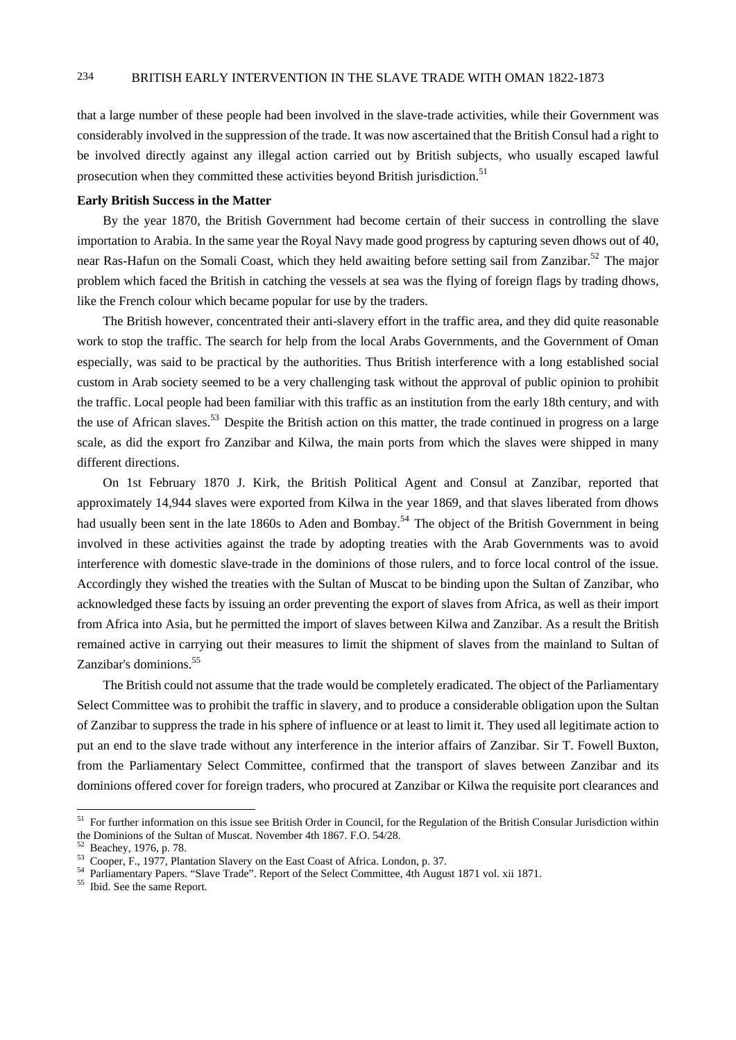that a large number of these people had been involved in the slave-trade activities, while their Government was considerably involved in the suppression of the trade. It was now ascertained that the British Consul had a right to be involved directly against any illegal action carried out by British subjects, who usually escaped lawful prosecution when they committed these activities beyond British jurisdiction.<sup>51</sup>

## **Early British Success in the Matter**

By the year 1870, the British Government had become certain of their success in controlling the slave importation to Arabia. In the same year the Royal Navy made good progress by capturing seven dhows out of 40, near Ras-Hafun on the Somali Coast, which they held awaiting before setting sail from Zanzibar.<sup>52</sup> The major problem which faced the British in catching the vessels at sea was the flying of foreign flags by trading dhows, like the French colour which became popular for use by the traders.

The British however, concentrated their anti-slavery effort in the traffic area, and they did quite reasonable work to stop the traffic. The search for help from the local Arabs Governments, and the Government of Oman especially, was said to be practical by the authorities. Thus British interference with a long established social custom in Arab society seemed to be a very challenging task without the approval of public opinion to prohibit the traffic. Local people had been familiar with this traffic as an institution from the early 18th century, and with the use of African slaves.<sup>53</sup> Despite the British action on this matter, the trade continued in progress on a large scale, as did the export fro Zanzibar and Kilwa, the main ports from which the slaves were shipped in many different directions.

On 1st February 1870 J. Kirk, the British Political Agent and Consul at Zanzibar, reported that approximately 14,944 slaves were exported from Kilwa in the year 1869, and that slaves liberated from dhows had usually been sent in the late 1860s to Aden and Bombay.<sup>54</sup> The object of the British Government in being involved in these activities against the trade by adopting treaties with the Arab Governments was to avoid interference with domestic slave-trade in the dominions of those rulers, and to force local control of the issue. Accordingly they wished the treaties with the Sultan of Muscat to be binding upon the Sultan of Zanzibar, who acknowledged these facts by issuing an order preventing the export of slaves from Africa, as well as their import from Africa into Asia, but he permitted the import of slaves between Kilwa and Zanzibar. As a result the British remained active in carrying out their measures to limit the shipment of slaves from the mainland to Sultan of Zanzibar's dominions.<sup>55</sup>

The British could not assume that the trade would be completely eradicated. The object of the Parliamentary Select Committee was to prohibit the traffic in slavery, and to produce a considerable obligation upon the Sultan of Zanzibar to suppress the trade in his sphere of influence or at least to limit it. They used all legitimate action to put an end to the slave trade without any interference in the interior affairs of Zanzibar. Sir T. Fowell Buxton, from the Parliamentary Select Committee, confirmed that the transport of slaves between Zanzibar and its dominions offered cover for foreign traders, who procured at Zanzibar or Kilwa the requisite port clearances and

<sup>&</sup>lt;sup>51</sup> For further information on this issue see British Order in Council, for the Regulation of the British Consular Jurisdiction within the Dominions of the Sultan of Muscat. November 4th 1867. F.O. 54/28.

 $52$  Beachey, 1976, p. 78.<br> $53$  Cooper, F., 1977, Plantation Slavery on the East Coast of Africa. London, p. 37.

<sup>54</sup> Parliamentary Papers. "Slave Trade". Report of the Select Committee, 4th August 1871 vol. xii 1871.<br>55 Ibid. See the same Report.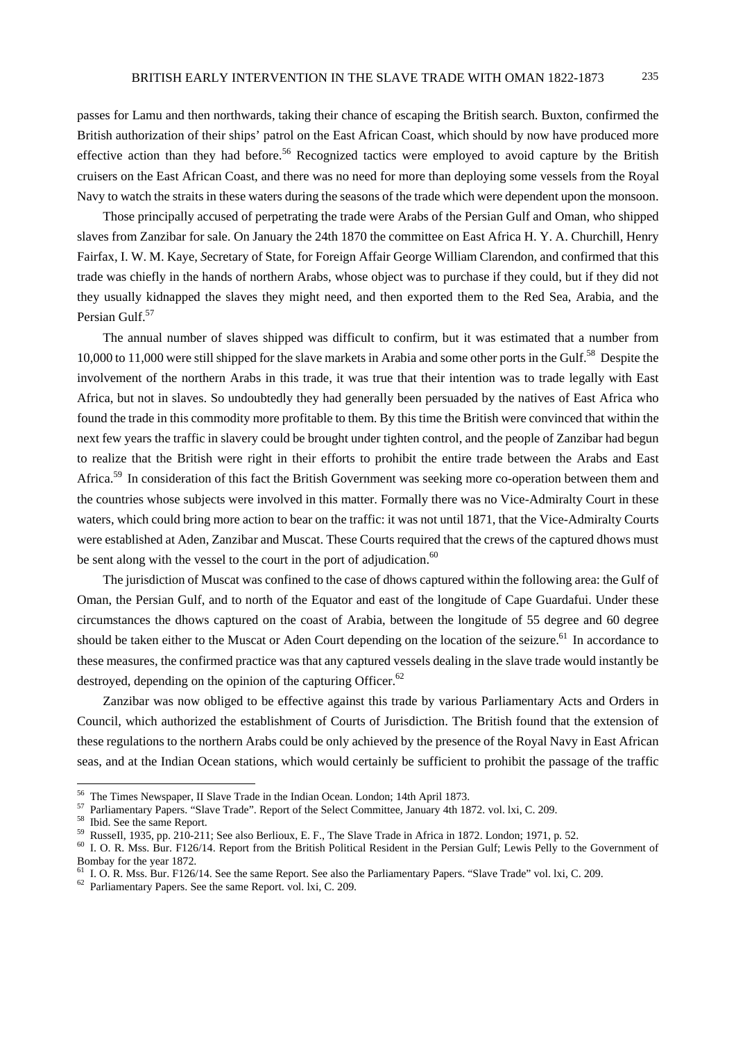passes for Lamu and then northwards, taking their chance of escaping the British search. Buxton, confirmed the British authorization of their ships' patrol on the East African Coast, which should by now have produced more effective action than they had before.<sup>56</sup> Recognized tactics were employed to avoid capture by the British cruisers on the East African Coast, and there was no need for more than deploying some vessels from the Royal Navy to watch the straits in these waters during the seasons of the trade which were dependent upon the monsoon.

Those principally accused of perpetrating the trade were Arabs of the Persian Gulf and Oman, who shipped slaves from Zanzibar for sale. On January the 24th 1870 the committee on East Africa H. Y. A. Churchill, Henry Fairfax, I. W. M. Kaye, *S*ecretary of State, for Foreign Affair George William Clarendon, and confirmed that this trade was chiefly in the hands of northern Arabs, whose object was to purchase if they could, but if they did not they usually kidnapped the slaves they might need, and then exported them to the Red Sea, Arabia, and the Persian Gulf.<sup>57</sup>

The annual number of slaves shipped was difficult to confirm, but it was estimated that a number from 10,000 to 11,000 were still shipped for the slave markets in Arabia and some other ports in the Gulf.<sup>58</sup> Despite the involvement of the northern Arabs in this trade, it was true that their intention was to trade legally with East Africa, but not in slaves. So undoubtedly they had generally been persuaded by the natives of East Africa who found the trade in this commodity more profitable to them. By this time the British were convinced that within the next few years the traffic in slavery could be brought under tighten control, and the people of Zanzibar had begun to realize that the British were right in their efforts to prohibit the entire trade between the Arabs and East Africa.<sup>59</sup> In consideration of this fact the British Government was seeking more co-operation between them and the countries whose subjects were involved in this matter. Formally there was no Vice-Admiralty Court in these waters, which could bring more action to bear on the traffic: it was not until 1871, that the Vice-Admiralty Courts were established at Aden, Zanzibar and Muscat. These Courts required that the crews of the captured dhows must be sent along with the vessel to the court in the port of adjudication.<sup>60</sup>

The jurisdiction of Muscat was confined to the case of dhows captured within the following area: the Gulf of Oman, the Persian Gulf, and to north of the Equator and east of the longitude of Cape Guardafui. Under these circumstances the dhows captured on the coast of Arabia, between the longitude of 55 degree and 60 degree should be taken either to the Muscat or Aden Court depending on the location of the seizure.<sup>61</sup> In accordance to these measures, the confirmed practice was that any captured vessels dealing in the slave trade would instantly be destroyed, depending on the opinion of the capturing Officer.<sup>62</sup>

Zanzibar was now obliged to be effective against this trade by various Parliamentary Acts and Orders in Council, which authorized the establishment of Courts of Jurisdiction. The British found that the extension of these regulations to the northern Arabs could be only achieved by the presence of the Royal Navy in East African seas, and at the Indian Ocean stations, which would certainly be sufficient to prohibit the passage of the traffic

<sup>&</sup>lt;sup>56</sup> The Times Newspaper, II Slave Trade in the Indian Ocean. London; 14th April 1873.

<sup>&</sup>lt;sup>57</sup> Parliamentary Papers. "Slave Trade". Report of the Select Committee, January 4th 1872. vol. lxi, C. 209.<br><sup>58</sup> Ibid. See the same Report.<br><sup>59</sup> Russell, 1935, pp. 210-211; See also Berlioux, E. F., The Slave Trade in Af

<sup>&</sup>lt;sup>60</sup> I. O. R. Mss. Bur. F126/14. Report from the British Political Resident in the Persian Gulf; Lewis Pelly to the Government of Bombay for the year 1872.

<sup>&</sup>lt;sup>61</sup> I. O. R. Mss. Bur. F126/14. See the same Report. See also the Parliamentary Papers. "Slave Trade" vol. lxi, C. 209. Parliamentary Papers. See the same Report. vol. lxi, C. 209.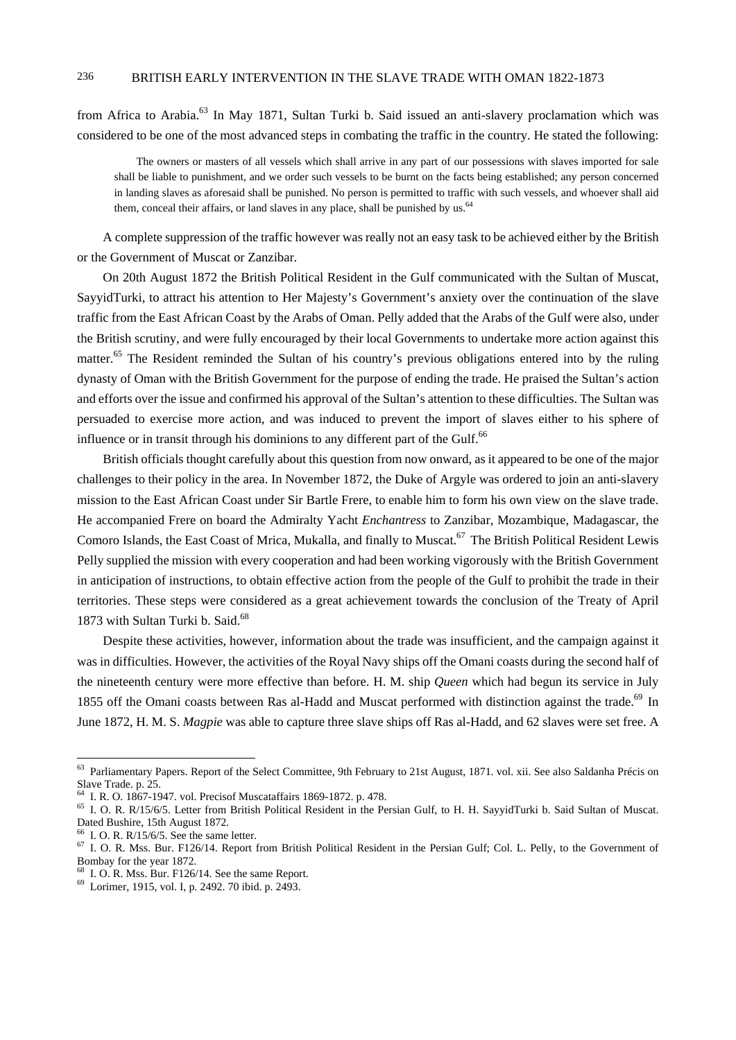from Africa to Arabia.<sup>63</sup> In May 1871, Sultan Turki b. Said issued an anti-slavery proclamation which was considered to be one of the most advanced steps in combating the traffic in the country. He stated the following:

The owners or masters of all vessels which shall arrive in any part of our possessions with slaves imported for sale shall be liable to punishment, and we order such vessels to be burnt on the facts being established; any person concerned in landing slaves as aforesaid shall be punished. No person is permitted to traffic with such vessels, and whoever shall aid them, conceal their affairs, or land slaves in any place, shall be punished by us.<sup>64</sup>

A complete suppression of the traffic however was really not an easy task to be achieved either by the British or the Government of Muscat or Zanzibar.

On 20th August 1872 the British Political Resident in the Gulf communicated with the Sultan of Muscat, SayyidTurki, to attract his attention to Her Majesty's Government's anxiety over the continuation of the slave traffic from the East African Coast by the Arabs of Oman. Pelly added that the Arabs of the Gulf were also, under the British scrutiny, and were fully encouraged by their local Governments to undertake more action against this matter.<sup>65</sup> The Resident reminded the Sultan of his country's previous obligations entered into by the ruling dynasty of Oman with the British Government for the purpose of ending the trade. He praised the Sultan's action and efforts over the issue and confirmed his approval of the Sultan's attention to these difficulties. The Sultan was persuaded to exercise more action, and was induced to prevent the import of slaves either to his sphere of influence or in transit through his dominions to any different part of the Gulf.<sup>66</sup>

British officials thought carefully about this question from now onward, as it appeared to be one of the major challenges to their policy in the area. In November 1872, the Duke of Argyle was ordered to join an anti-slavery mission to the East African Coast under Sir Bartle Frere, to enable him to form his own view on the slave trade. He accompanied Frere on board the Admiralty Yacht *Enchantress* to Zanzibar, Mozambique, Madagascar, the Comoro Islands, the East Coast of Mrica, Mukalla, and finally to Muscat.<sup>67</sup> The British Political Resident Lewis Pelly supplied the mission with every cooperation and had been working vigorously with the British Government in anticipation of instructions, to obtain effective action from the people of the Gulf to prohibit the trade in their territories. These steps were considered as a great achievement towards the conclusion of the Treaty of April 1873 with Sultan Turki b. Said.<sup>68</sup>

Despite these activities, however, information about the trade was insufficient, and the campaign against it was in difficulties. However, the activities of the Royal Navy ships off the Omani coasts during the second half of the nineteenth century were more effective than before. H. M. ship *Queen* which had begun its service in July 1855 off the Omani coasts between Ras al-Hadd and Muscat performed with distinction against the trade.<sup>69</sup> In June 1872, H. M. S. *Magpie* was able to capture three slave ships off Ras al-Hadd, and 62 slaves were set free. A

<sup>&</sup>lt;sup>63</sup> Parliamentary Papers. Report of the Select Committee, 9th February to 21st August, 1871. vol. xii. See also Saldanha Précis on Slave Trade. p. 25.

<sup>&</sup>lt;sup>64</sup> I. R. O. 1867-1947. vol. Precisof Muscataffairs 1869-1872. p. 478.<br><sup>65</sup> I. O. R. R/15/6/5. Letter from British Political Resident in the Persian Gulf, to H. H. SayyidTurki b. Said Sultan of Muscat. Dated Bushire, 15th August 1872.

 $66$  I. O. R. R/15/6/5. See the same letter.

 $67$  I. O. R. Mss. Bur. F126/14. Report from British Political Resident in the Persian Gulf; Col. L. Pelly, to the Government of Bombay for the year 1872.<br><sup>68</sup> I. O. R. Mss. Bur. F126/14. See the same Report.

<sup>&</sup>lt;sup>69</sup> Lorimer, 1915, vol. I, p. 2492. 70 ibid. p. 2493.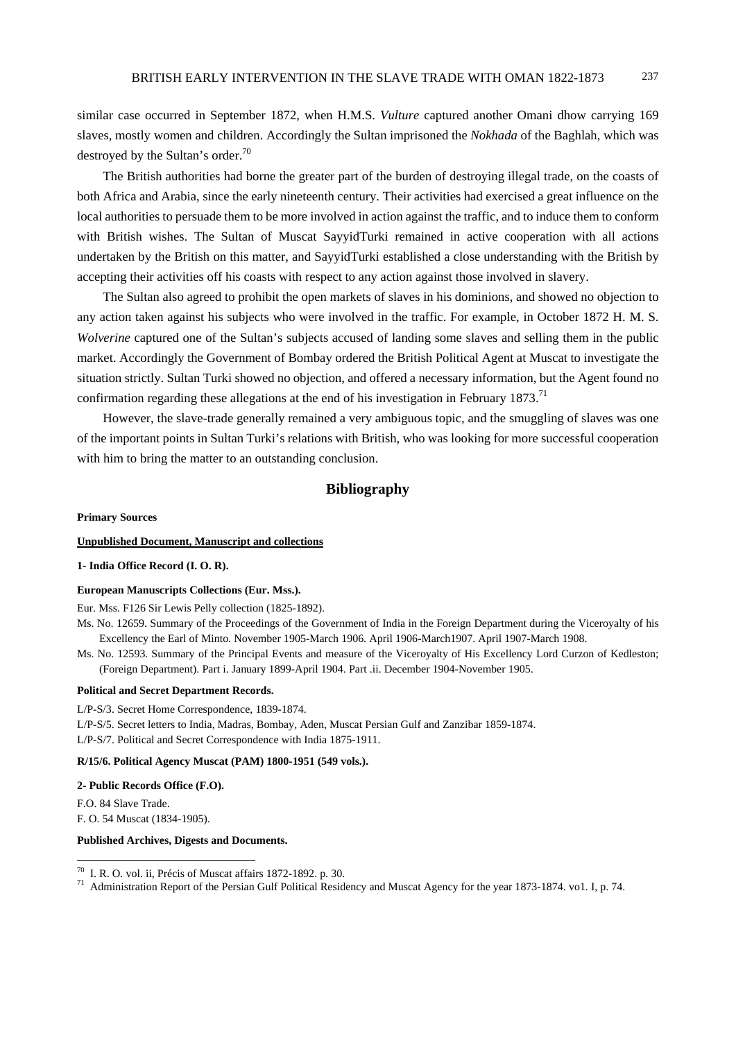similar case occurred in September 1872, when H.M.S. *Vulture* captured another Omani dhow carrying 169 slaves, mostly women and children. Accordingly the Sultan imprisoned the *Nokhada* of the Baghlah, which was destroyed by the Sultan's order.<sup>70</sup>

The British authorities had borne the greater part of the burden of destroying illegal trade, on the coasts of both Africa and Arabia, since the early nineteenth century. Their activities had exercised a great influence on the local authorities to persuade them to be more involved in action against the traffic, and to induce them to conform with British wishes. The Sultan of Muscat SayyidTurki remained in active cooperation with all actions undertaken by the British on this matter, and SayyidTurki established a close understanding with the British by accepting their activities off his coasts with respect to any action against those involved in slavery.

The Sultan also agreed to prohibit the open markets of slaves in his dominions, and showed no objection to any action taken against his subjects who were involved in the traffic. For example, in October 1872 H. M. S. *Wolverine* captured one of the Sultan's subjects accused of landing some slaves and selling them in the public market. Accordingly the Government of Bombay ordered the British Political Agent at Muscat to investigate the situation strictly. Sultan Turki showed no objection, and offered a necessary information, but the Agent found no confirmation regarding these allegations at the end of his investigation in February 1873.<sup>71</sup>

However, the slave-trade generally remained a very ambiguous topic, and the smuggling of slaves was one of the important points in Sultan Turki's relations with British, who was looking for more successful cooperation with him to bring the matter to an outstanding conclusion.

## **Bibliography**

#### **Primary Sources**

## **Unpublished Document, Manuscript and collections**

## **1- India Office Record (I. O. R).**

#### **European Manuscripts Collections (Eur. Mss.).**

Eur. Mss. F126 Sir Lewis Pelly collection (1825-1892).

- Ms. No. 12659. Summary of the Proceedings of the Government of India in the Foreign Department during the Viceroyalty of his Excellency the Earl of Minto. November 1905-March 1906. April 1906-March1907. April 1907-March 1908.
- Ms. No. 12593. Summary of the Principal Events and measure of the Viceroyalty of His Excellency Lord Curzon of Kedleston; (Foreign Department). Part i. January 1899-April 1904. Part .ii. December 1904-November 1905.

#### **Political and Secret Department Records.**

L/P-S/3. Secret Home Correspondence, 1839-1874.

L/P-S/5. Secret letters to India, Madras, Bombay, Aden, Muscat Persian Gulf and Zanzibar 1859-1874. L/P-S/7. Political and Secret Correspondence with India 1875-1911.

#### **R/15/6. Political Agency Muscat (PAM) 1800-1951 (549 vols.).**

#### **2- Public Records Office (F.O).**

F.O. 84 Slave Trade. F. O. 54 Muscat (1834-1905).

 $\overline{a}$ 

#### **Published Archives, Digests and Documents.**

 $70$  I. R. O. vol. ii, Précis of Muscat affairs 1872-1892. p. 30.

<sup>71</sup> Administration Report of the Persian Gulf Political Residency and Muscat Agency for the year 1873-1874. vo1. I, p. 74.